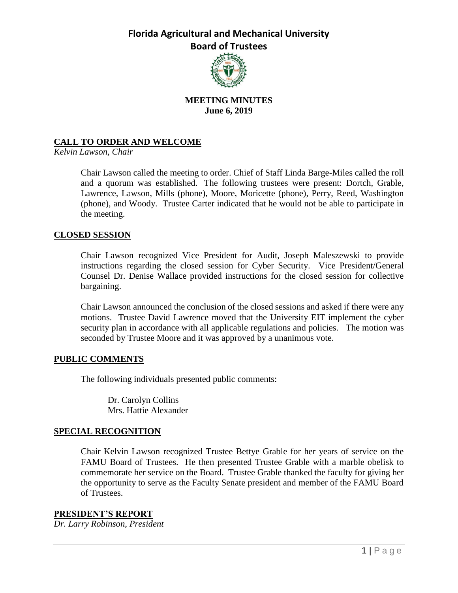

## **MEETING MINUTES June 6, 2019**

### **CALL TO ORDER AND WELCOME**

*Kelvin Lawson, Chair*

Chair Lawson called the meeting to order. Chief of Staff Linda Barge-Miles called the roll and a quorum was established. The following trustees were present: Dortch, Grable, Lawrence, Lawson, Mills (phone), Moore, Moricette (phone), Perry, Reed, Washington (phone), and Woody. Trustee Carter indicated that he would not be able to participate in the meeting.

#### **CLOSED SESSION**

Chair Lawson recognized Vice President for Audit, Joseph Maleszewski to provide instructions regarding the closed session for Cyber Security. Vice President/General Counsel Dr. Denise Wallace provided instructions for the closed session for collective bargaining.

Chair Lawson announced the conclusion of the closed sessions and asked if there were any motions. Trustee David Lawrence moved that the University EIT implement the cyber security plan in accordance with all applicable regulations and policies. The motion was seconded by Trustee Moore and it was approved by a unanimous vote.

#### **PUBLIC COMMENTS**

The following individuals presented public comments:

Dr. Carolyn Collins Mrs. Hattie Alexander

### **SPECIAL RECOGNITION**

Chair Kelvin Lawson recognized Trustee Bettye Grable for her years of service on the FAMU Board of Trustees. He then presented Trustee Grable with a marble obelisk to commemorate her service on the Board. Trustee Grable thanked the faculty for giving her the opportunity to serve as the Faculty Senate president and member of the FAMU Board of Trustees.

**PRESIDENT'S REPORT** *Dr. Larry Robinson, President*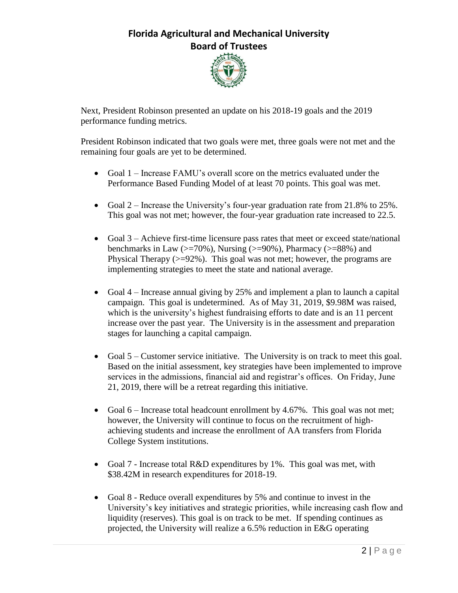

Next, President Robinson presented an update on his 2018-19 goals and the 2019 performance funding metrics.

President Robinson indicated that two goals were met, three goals were not met and the remaining four goals are yet to be determined.

- Goal 1 Increase FAMU's overall score on the metrics evaluated under the Performance Based Funding Model of at least 70 points. This goal was met.
- Goal 2 Increase the University's four-year graduation rate from 21.8% to 25%. This goal was not met; however, the four-year graduation rate increased to 22.5.
- Goal 3 Achieve first-time licensure pass rates that meet or exceed state/national benchmarks in Law ( $\ge$ =70%), Nursing ( $\ge$ =90%), Pharmacy ( $\ge$ =88%) and Physical Therapy  $(>=92\%)$ . This goal was not met; however, the programs are implementing strategies to meet the state and national average.
- Goal 4 Increase annual giving by 25% and implement a plan to launch a capital campaign. This goal is undetermined. As of May 31, 2019, \$9.98M was raised, which is the university's highest fundraising efforts to date and is an 11 percent increase over the past year. The University is in the assessment and preparation stages for launching a capital campaign.
- Goal 5 Customer service initiative. The University is on track to meet this goal. Based on the initial assessment, key strategies have been implemented to improve services in the admissions, financial aid and registrar's offices. On Friday, June 21, 2019, there will be a retreat regarding this initiative.
- Goal 6 Increase total headcount enrollment by 4.67%. This goal was not met; however, the University will continue to focus on the recruitment of highachieving students and increase the enrollment of AA transfers from Florida College System institutions.
- Goal 7 Increase total R&D expenditures by 1%. This goal was met, with \$38.42M in research expenditures for 2018-19.
- Goal 8 Reduce overall expenditures by 5% and continue to invest in the University's key initiatives and strategic priorities, while increasing cash flow and liquidity (reserves). This goal is on track to be met. If spending continues as projected, the University will realize a 6.5% reduction in E&G operating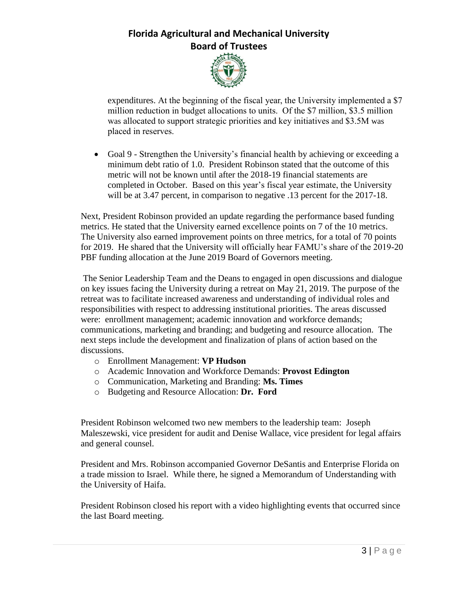

expenditures. At the beginning of the fiscal year, the University implemented a \$7 million reduction in budget allocations to units. Of the \$7 million, \$3.5 million was allocated to support strategic priorities and key initiatives and \$3.5M was placed in reserves.

 Goal 9 - Strengthen the University's financial health by achieving or exceeding a minimum debt ratio of 1.0. President Robinson stated that the outcome of this metric will not be known until after the 2018-19 financial statements are completed in October. Based on this year's fiscal year estimate, the University will be at 3.47 percent, in comparison to negative .13 percent for the 2017-18.

Next, President Robinson provided an update regarding the performance based funding metrics. He stated that the University earned excellence points on 7 of the 10 metrics. The University also earned improvement points on three metrics, for a total of 70 points for 2019. He shared that the University will officially hear FAMU's share of the 2019-20 PBF funding allocation at the June 2019 Board of Governors meeting.

The Senior Leadership Team and the Deans to engaged in open discussions and dialogue on key issues facing the University during a retreat on May 21, 2019. The purpose of the retreat was to facilitate increased awareness and understanding of individual roles and responsibilities with respect to addressing institutional priorities. The areas discussed were: enrollment management; academic innovation and workforce demands; communications, marketing and branding; and budgeting and resource allocation. The next steps include the development and finalization of plans of action based on the discussions.

- o Enrollment Management: **VP Hudson**
- o Academic Innovation and Workforce Demands: **Provost Edington**
- o Communication, Marketing and Branding: **Ms. Times**
- o Budgeting and Resource Allocation: **Dr. Ford**

President Robinson welcomed two new members to the leadership team: Joseph Maleszewski, vice president for audit and Denise Wallace, vice president for legal affairs and general counsel.

President and Mrs. Robinson accompanied Governor DeSantis and Enterprise Florida on a trade mission to Israel. While there, he signed a Memorandum of Understanding with the University of Haifa.

President Robinson closed his report with a video highlighting events that occurred since the last Board meeting.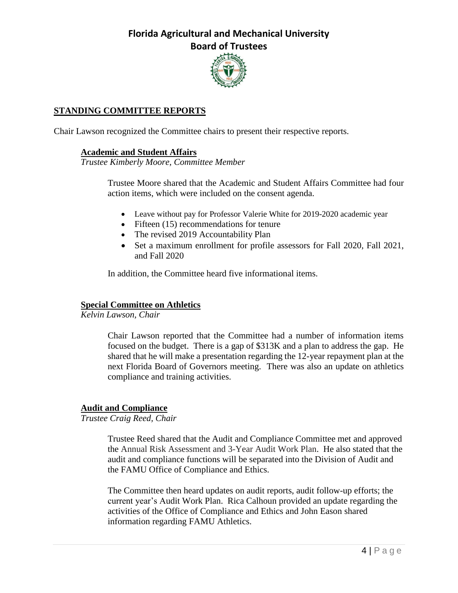

### **STANDING COMMITTEE REPORTS**

Chair Lawson recognized the Committee chairs to present their respective reports.

### **Academic and Student Affairs**

*Trustee Kimberly Moore, Committee Member*

Trustee Moore shared that the Academic and Student Affairs Committee had four action items, which were included on the consent agenda.

- Leave without pay for Professor Valerie White for 2019-2020 academic year
- Fifteen (15) recommendations for tenure
- The revised 2019 Accountability Plan
- Set a maximum enrollment for profile assessors for Fall 2020, Fall 2021, and Fall 2020

In addition, the Committee heard five informational items.

### **Special Committee on Athletics**

*Kelvin Lawson, Chair*

Chair Lawson reported that the Committee had a number of information items focused on the budget. There is a gap of \$313K and a plan to address the gap. He shared that he will make a presentation regarding the 12-year repayment plan at the next Florida Board of Governors meeting. There was also an update on athletics compliance and training activities.

#### **Audit and Compliance**

*Trustee Craig Reed, Chair*

Trustee Reed shared that the Audit and Compliance Committee met and approved the Annual Risk Assessment and 3-Year Audit Work Plan. He also stated that the audit and compliance functions will be separated into the Division of Audit and the FAMU Office of Compliance and Ethics.

The Committee then heard updates on audit reports, audit follow-up efforts; the current year's Audit Work Plan. Rica Calhoun provided an update regarding the activities of the Office of Compliance and Ethics and John Eason shared information regarding FAMU Athletics.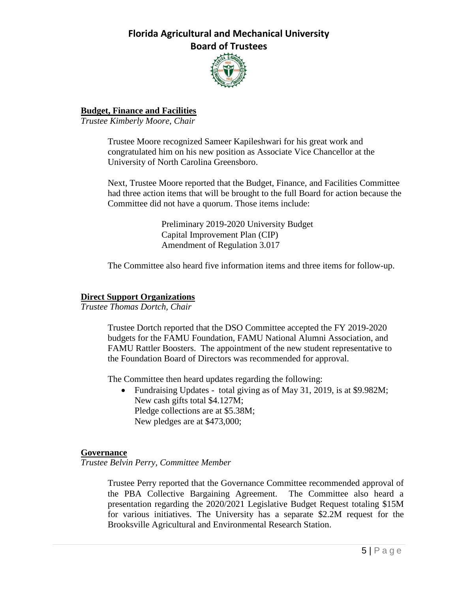

### **Budget, Finance and Facilities**

*Trustee Kimberly Moore, Chair*

Trustee Moore recognized Sameer Kapileshwari for his great work and congratulated him on his new position as Associate Vice Chancellor at the University of North Carolina Greensboro.

Next, Trustee Moore reported that the Budget, Finance, and Facilities Committee had three action items that will be brought to the full Board for action because the Committee did not have a quorum. Those items include:

> Preliminary 2019-2020 University Budget Capital Improvement Plan (CIP) Amendment of Regulation 3.017

The Committee also heard five information items and three items for follow-up.

#### **Direct Support Organizations**

*Trustee Thomas Dortch, Chair*

Trustee Dortch reported that the DSO Committee accepted the FY 2019-2020 budgets for the FAMU Foundation, FAMU National Alumni Association, and FAMU Rattler Boosters. The appointment of the new student representative to the Foundation Board of Directors was recommended for approval.

The Committee then heard updates regarding the following:

• Fundraising Updates - total giving as of May 31, 2019, is at \$9.982M; New cash gifts total \$4.127M; Pledge collections are at \$5.38M; New pledges are at \$473,000;

#### **Governance**

*Trustee Belvin Perry, Committee Member*

Trustee Perry reported that the Governance Committee recommended approval of the PBA Collective Bargaining Agreement. The Committee also heard a presentation regarding the 2020/2021 Legislative Budget Request totaling \$15M for various initiatives. The University has a separate \$2.2M request for the Brooksville Agricultural and Environmental Research Station.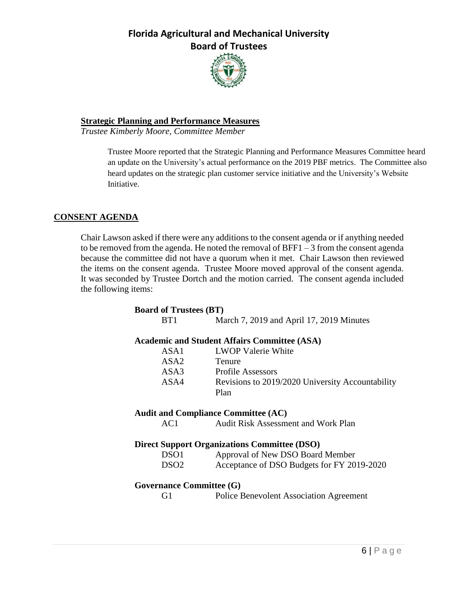

### **Strategic Planning and Performance Measures**

*Trustee Kimberly Moore, Committee Member*

Trustee Moore reported that the Strategic Planning and Performance Measures Committee heard an update on the University's actual performance on the 2019 PBF metrics. The Committee also heard updates on the strategic plan customer service initiative and the University's Website Initiative.

### **CONSENT AGENDA**

Chair Lawson asked if there were any additions to the consent agenda or if anything needed to be removed from the agenda. He noted the removal of BFF1 – 3 from the consent agenda because the committee did not have a quorum when it met. Chair Lawson then reviewed the items on the consent agenda. Trustee Moore moved approval of the consent agenda. It was seconded by Trustee Dortch and the motion carried. The consent agenda included the following items:

| <b>Board of Trustees (BT)</b>                       |
|-----------------------------------------------------|
| March 7, 2019 and April 17, 2019 Minutes            |
| <b>Academic and Student Affairs Committee (ASA)</b> |
| <b>LWOP Valerie White</b>                           |
| <b>Tenure</b>                                       |
| ASA3<br><b>Profile Assessors</b>                    |
| Revisions to 2019/2020 University Accountability    |
| Plan                                                |
| <b>Audit and Compliance Committee (AC)</b>          |
| <b>Audit Risk Assessment and Work Plan</b>          |
| <b>Direct Support Organizations Committee (DSO)</b> |
| Approval of New DSO Board Member                    |
| Acceptance of DSO Budgets for FY 2019-2020          |
| <b>Governance Committee (G)</b>                     |
| <b>Police Benevolent Association Agreement</b>      |
|                                                     |